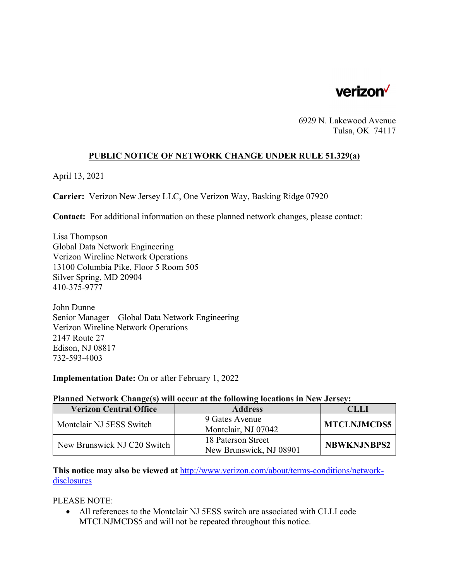

6929 N. Lakewood Avenue Tulsa, OK 74117

## **PUBLIC NOTICE OF NETWORK CHANGE UNDER RULE 51.329(a)**

April 13, 2021

**Carrier:** Verizon New Jersey LLC, One Verizon Way, Basking Ridge 07920

**Contact:** For additional information on these planned network changes, please contact:

Lisa Thompson Global Data Network Engineering Verizon Wireline Network Operations 13100 Columbia Pike, Floor 5 Room 505 Silver Spring, MD 20904 410-375-9777

John Dunne Senior Manager – Global Data Network Engineering Verizon Wireline Network Operations 2147 Route 27 Edison, NJ 08817 732-593-4003

**Implementation Date:** On or after February 1, 2022

## **Planned Network Change(s) will occur at the following locations in New Jersey:**

| <b>Verizon Central Office</b> | <b>Address</b>                                | CLLL               |
|-------------------------------|-----------------------------------------------|--------------------|
| Montclair NJ 5ESS Switch      | 9 Gates Avenue<br>Montclair, NJ 07042         | <b>MTCLNJMCDS5</b> |
| New Brunswick NJ C20 Switch   | 18 Paterson Street<br>New Brunswick, NJ 08901 | <b>NBWKNJNBPS2</b> |

**This notice may also be viewed at** http://www.verizon.com/about/terms-conditions/networkdisclosures

PLEASE NOTE:

 All references to the Montclair NJ 5ESS switch are associated with CLLI code MTCLNJMCDS5 and will not be repeated throughout this notice.